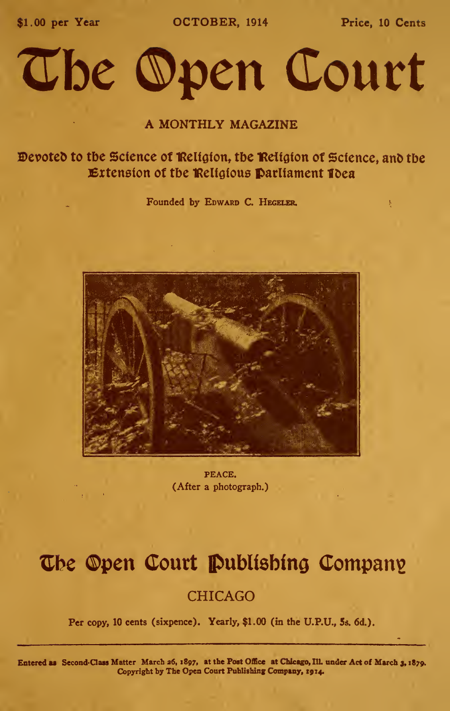$$1.00$  per Year

 $OCTOBER, 1914$ 

Price. 10 Cents



#### A MONTHLY MAGAZINE

#### Devoted to the Science of Religion, the Religion of Science, and the **Extension of the Religious Darliament Toea**

Founded by EDWARD C. HEGELER.



PEACE. (After a photograph.)

## The Open Court Publishing Company

#### **CHICAGO**

Per copy, 10 cents (sixpence). Yearly, \$1.00 (in the U.P.U., 5s. 6d.).

Entered as Second-Class Matter March 26, 1897, at the Post Office at Chicago, Ill. under Act of March 3, 1879. Copyright by The Open Court Publishing Company, 1914.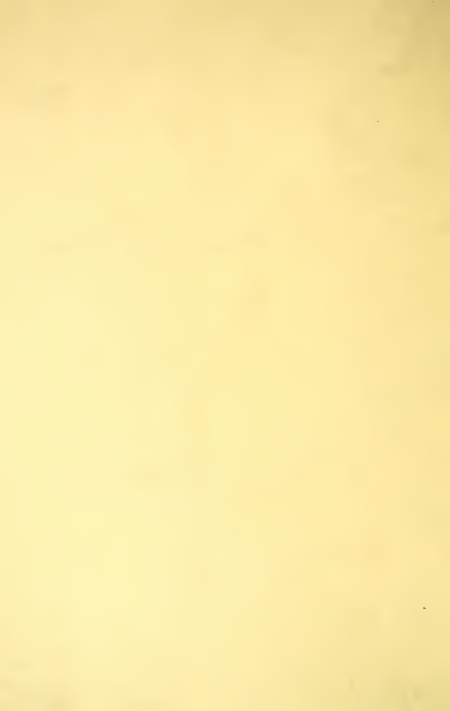Ŷ.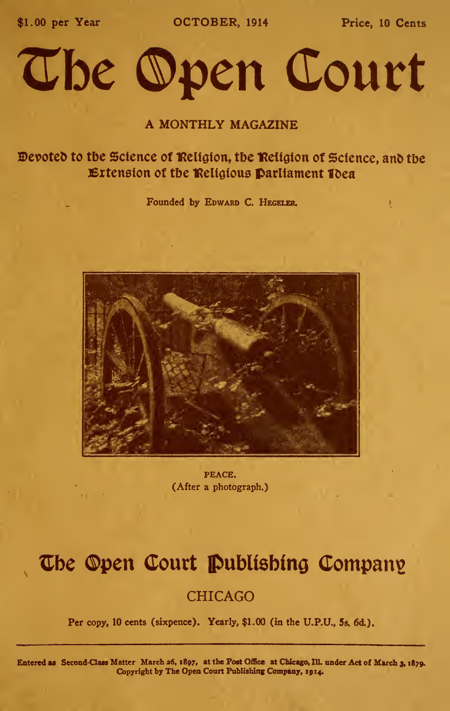\$1.00 per Year

OCTOBER, 1914

Price, 10 Cents



#### A MONTHLY MAGAZINE

#### Devoted to the Science of Religion, the Religion of Science, and the Extension of the Religious Darliament Toea

Founded by EDWARD C. HEGELER.



PEACE. (After a photograph.)

## The Open Court Publishing Company

#### **CHICAGO**

Per copy, 10 cents (sixpence). Yearly, \$1.00 (in the U.P.U., 5s. 6d.).

Entered as Second-Class Matter March 26, 1897, at the Post Office at Chicago, Ill. under Act of March 3, 1870. Copyright by The Open Court Publishing Company, 1914.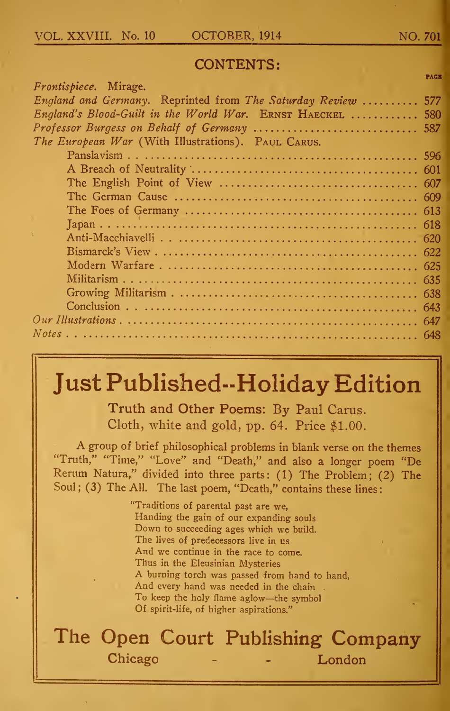**PAGE** 

#### CONTENTS:

| <i>Frontispiece.</i> Mirage.                                 |     |
|--------------------------------------------------------------|-----|
| England and Germany. Reprinted from The Saturday Review  577 |     |
| England's Blood-Guilt in the World War. ERNST HAECKEL  580   |     |
|                                                              |     |
| The European War (With Illustrations). PAUL CARUS.           |     |
|                                                              | 596 |
|                                                              |     |
|                                                              |     |
|                                                              |     |
|                                                              |     |
|                                                              |     |
|                                                              |     |
|                                                              |     |
|                                                              |     |
|                                                              |     |
|                                                              |     |
|                                                              |     |
|                                                              |     |
|                                                              | 648 |
|                                                              |     |

# Just Published-Holiday Edition

Truth and Other Poems: By Paul Carus. Cloth, white and gold, pp. 64. Price \$1.00.

A group of brief philosophical problems in blank verse on the themes "Truth," 'Time," "Love" and "Death," and also a longer poem "De Rerum Natura," divided into three parts: (1) The Problem; (2) The Soul; (3) The All. The last poem, "Death," contains these lines:

> "Traditions of parental past are we, Handing the gain of our expanding souls Down to succeeding ages which we build. The lives of predecessors live in us And we continue in the race to come. Thus in the Eleusinian Mysteries A burning torch was passed from hand to hand, And every hand was needed in the chain . To keep the holy flame aglow—the symbol Of spirit-life, of higher aspirations."

## The Open Court Publishing Company Chicago - - London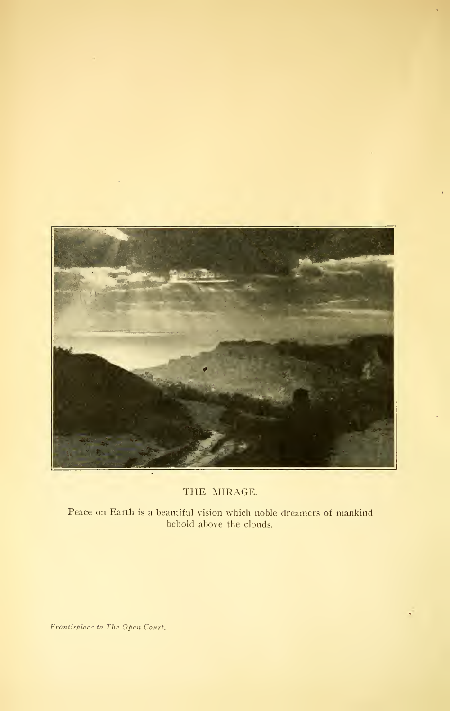

#### THE MIRAGE.

Peace on Earth is a beautiful vision which noble dreamers of mankind behold above the clouds.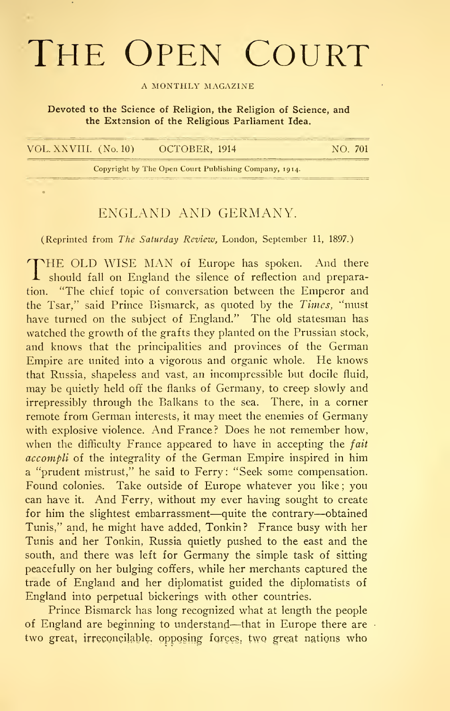# THE OPEN COURT

#### A MONTHLY MAGAZINE

Devoted to the Science of Religion, the Religion of Science, and the Extension of the Religious Parliament Idea.

| VOL. XXVIII. (No. 10)/                                |  | OCTOBER, 1914 | NO. 701 |  |  |
|-------------------------------------------------------|--|---------------|---------|--|--|
| Copyright by The Open Court Publishing Company, 1914. |  |               |         |  |  |

### ENGLAND AND GERMANY.

(Reprinted from The Saturday Review, London, September 11, 1897.)

THE OLD WISE MAN of Europe has spoken. And there should fall on England the silence of reflection and preparation. "The chief topic of conversation between the Emperor and the Tsar," said Prince Bismarck, as quoted by the Times, "must have turned on the subject of England." The old statesman has watched the growth of the grafts they planted on the Prussian stock, and knows that the principalities and provinces of the German Empire are united into <sup>a</sup> vigorous and organic whole. He knows that Russia, shapeless and vast, an incompressible but docile fluid, may be quietly held off the flanks of Germany, to creep slowly and irrepressibly through the Balkans to the sea. There, in a corner remote from German interests, it may meet the enemies of Germany with explosive violence. And France? Does he not remember how, when the difficulty France appeared to have in accepting the *fait* accompli of the integrality of the German Empire inspired in him a "prudent mistrust," he said to Ferry: "Seek some compensation. Found colonies. Take outside of Europe whatever you like ; you can have it. And Ferry, without my ever having sought to create for him the slightest embarrassment—quite the contrary—obtained Tunis," and, he might have added. Tonkin? France busy with her Tunis and her Tonkin, Russia quietly pushed to the east and the south, and there was left for Germany the simple task of sitting peacefully on her bulging coffers, while her merchants captured the trade of England and her diplomatist guided the diplomatists of England into perpetual bickerings with other countries.

Prince Bismarck has long recognized what at length the people of England are beginning to understand—that in Europe there are two great, irreconcilable, opposing forces, two great nations who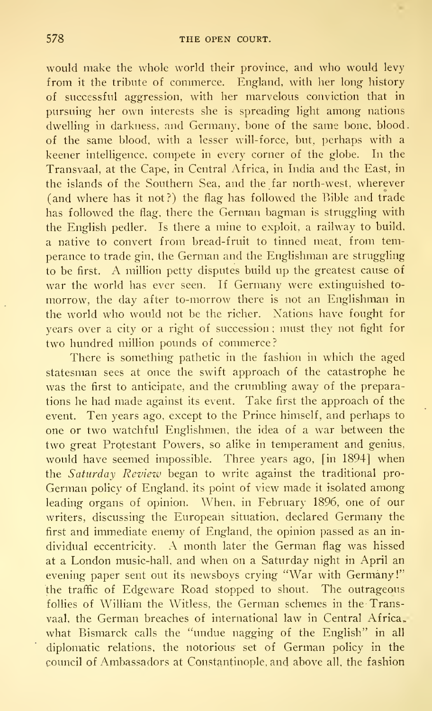would make the whole world their province, and who would levy from it the tribute of commerce. England, with her long history of successful aggression, with her marvelous conviction that in pursuing her own interests she is spreading light among nations dwelling in darkness, and Germany, bone of the same bone, blood, of the same blood, with a lesser will-force, but, perhaps with a keener intelligence, compete in every corner of the globe. In the Transvaal, at the Cape, in Central Africa, in India and the East, in the islands of the Southern Sea, and the far north-west, wherever (and where has it not?) the flag has followed the Bible and trade has followed the flag, there the German bagman is struggling with the English pedler. Is there a mine to exploit, a railway to build, a native to convert from bread-fruit to tinned meat, from tem perance to trade gin, the German and the Englishman are struggling to be first. A million petty disputes build up the greatest cause of war the world has ever seen. If Germany were extinguished tomorrow, the day after to-morrow there is not an Englishman in the world who would not be the richer. Nations have fought for years over a city or a right of succession ; must they not fight for two hundred million pounds of commerce?

There is something pathetic in the fashion in which the aged statesman sees at once the swift approach of the catastrophe he was the first to anticipate, and the crumbling away of the preparations he had made against its event. Take first the approach of the event. Ten years ago, except to the Prince himself, and perhaps to one or two watchful Englishmen, the idea of a war between the two great Protestant Powers, so alike in temperament and genius, would have seemed impossible. Three years ago, [in 1894] when the Saturday Reviezv began to write against the traditional pro- German policy of England, its point of view made it isolated among leading organs of opinion. When, in February 1896, one of our writers, discussing the European situation, declared Germany the first and immediate enemy of England, the opinion passed as an in dividual eccentricity. A month later the German flag was hissed at a London music-hall, and when on a Saturday night in April an evening paper sent out its newsboys crying "War with Germany!" the traffic of Edgeware Road stopped to shout. The outrageous follies of William the Witless, the German schemes in the Transvaal, the German breaches of international law in Central Africa, what Bismarck calls the "undue nagging of the English" in all diplomatic relations, the notorious set of German policy in the council of Ambassadors at Constantinople, and above all, the fashion